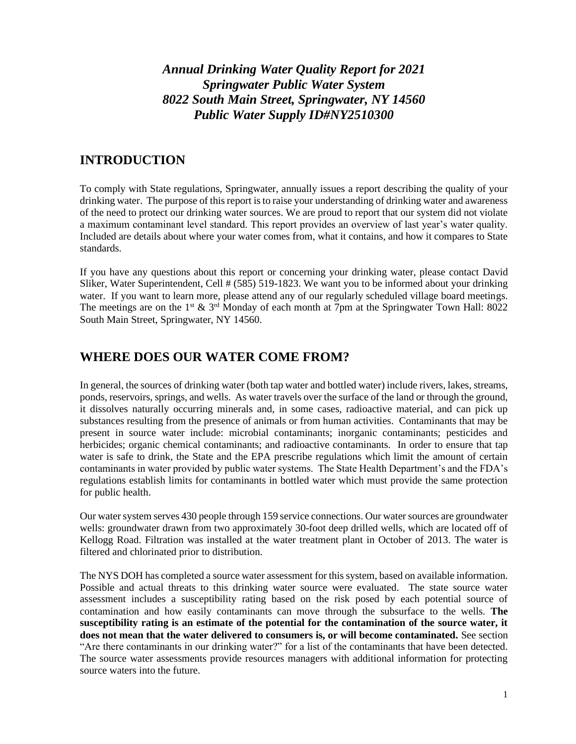## *Annual Drinking Water Quality Report for 2021 Springwater Public Water System 8022 South Main Street, Springwater, NY 14560 Public Water Supply ID#NY2510300*

### **INTRODUCTION**

To comply with State regulations, Springwater, annually issues a report describing the quality of your drinking water. The purpose of this report is to raise your understanding of drinking water and awareness of the need to protect our drinking water sources. We are proud to report that our system did not violate a maximum contaminant level standard. This report provides an overview of last year's water quality. Included are details about where your water comes from, what it contains, and how it compares to State standards.

If you have any questions about this report or concerning your drinking water, please contact David Sliker, Water Superintendent, Cell # (585) 519-1823. We want you to be informed about your drinking water. If you want to learn more, please attend any of our regularly scheduled village board meetings. The meetings are on the 1<sup>st</sup>  $\&$  3<sup>rd</sup> Monday of each month at 7pm at the Springwater Town Hall: 8022 South Main Street, Springwater, NY 14560.

### **WHERE DOES OUR WATER COME FROM?**

In general, the sources of drinking water (both tap water and bottled water) include rivers, lakes, streams, ponds, reservoirs, springs, and wells. As water travels over the surface of the land or through the ground, it dissolves naturally occurring minerals and, in some cases, radioactive material, and can pick up substances resulting from the presence of animals or from human activities. Contaminants that may be present in source water include: microbial contaminants; inorganic contaminants; pesticides and herbicides; organic chemical contaminants; and radioactive contaminants. In order to ensure that tap water is safe to drink, the State and the EPA prescribe regulations which limit the amount of certain contaminants in water provided by public water systems. The State Health Department's and the FDA's regulations establish limits for contaminants in bottled water which must provide the same protection for public health.

Our water system serves 430 people through 159 service connections. Our water sources are groundwater wells: groundwater drawn from two approximately 30-foot deep drilled wells, which are located off of Kellogg Road. Filtration was installed at the water treatment plant in October of 2013. The water is filtered and chlorinated prior to distribution.

The NYS DOH has completed a source water assessment for this system, based on available information. Possible and actual threats to this drinking water source were evaluated. The state source water assessment includes a susceptibility rating based on the risk posed by each potential source of contamination and how easily contaminants can move through the subsurface to the wells. **The susceptibility rating is an estimate of the potential for the contamination of the source water, it**  does not mean that the water delivered to consumers is, or will become contaminated. See section "Are there contaminants in our drinking water?" for a list of the contaminants that have been detected. The source water assessments provide resources managers with additional information for protecting source waters into the future.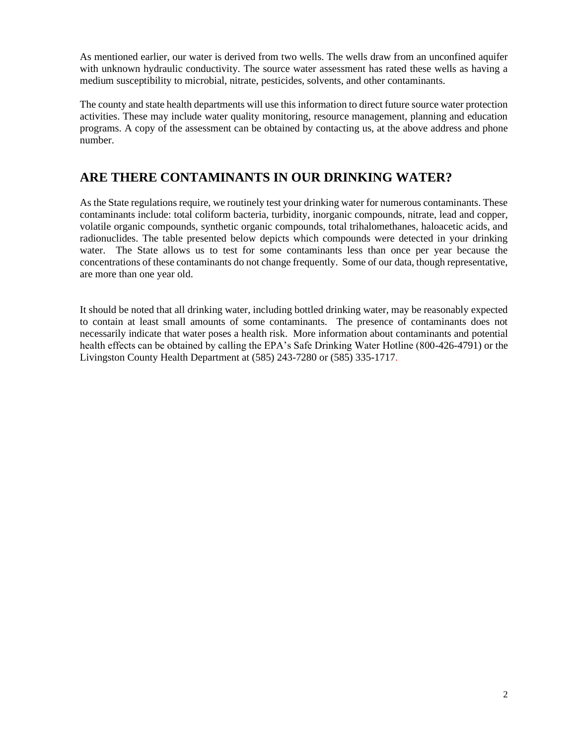As mentioned earlier, our water is derived from two wells. The wells draw from an unconfined aquifer with unknown hydraulic conductivity. The source water assessment has rated these wells as having a medium susceptibility to microbial, nitrate, pesticides, solvents, and other contaminants.

The county and state health departments will use this information to direct future source water protection activities. These may include water quality monitoring, resource management, planning and education programs. A copy of the assessment can be obtained by contacting us, at the above address and phone number.

# **ARE THERE CONTAMINANTS IN OUR DRINKING WATER?**

As the State regulations require, we routinely test your drinking water for numerous contaminants. These contaminants include: total coliform bacteria, turbidity, inorganic compounds, nitrate, lead and copper, volatile organic compounds, synthetic organic compounds, total trihalomethanes, haloacetic acids, and radionuclides. The table presented below depicts which compounds were detected in your drinking water. The State allows us to test for some contaminants less than once per year because the concentrations of these contaminants do not change frequently. Some of our data, though representative, are more than one year old.

It should be noted that all drinking water, including bottled drinking water, may be reasonably expected to contain at least small amounts of some contaminants. The presence of contaminants does not necessarily indicate that water poses a health risk. More information about contaminants and potential health effects can be obtained by calling the EPA's Safe Drinking Water Hotline (800-426-4791) or the Livingston County Health Department at (585) 243-7280 or (585) 335-1717.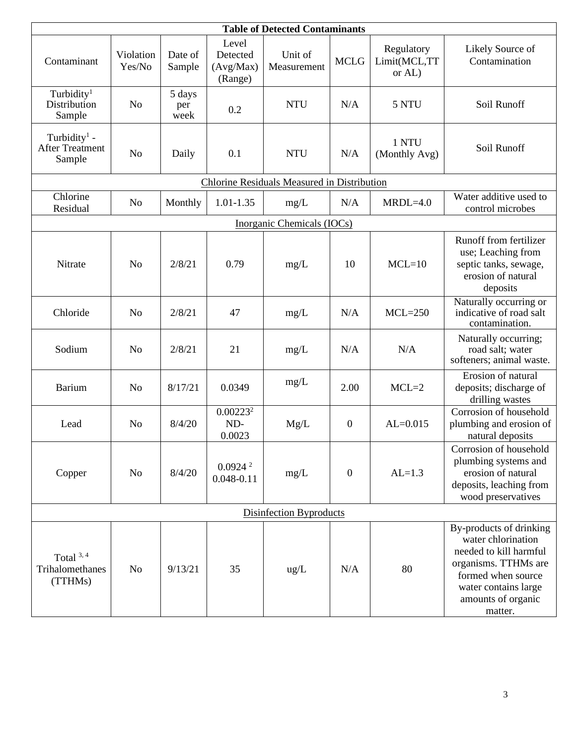| <b>Table of Detected Contaminants</b>                        |                     |                       |                                           |                        |                  |                                      |                                                                                                                                                                                |  |  |  |  |  |
|--------------------------------------------------------------|---------------------|-----------------------|-------------------------------------------|------------------------|------------------|--------------------------------------|--------------------------------------------------------------------------------------------------------------------------------------------------------------------------------|--|--|--|--|--|
| Contaminant                                                  | Violation<br>Yes/No | Date of<br>Sample     | Level<br>Detected<br>(Avg/Max)<br>(Range) | Unit of<br>Measurement | <b>MCLG</b>      | Regulatory<br>Limit(MCL,TT<br>or AL) | Likely Source of<br>Contamination                                                                                                                                              |  |  |  |  |  |
| Turbidity <sup>1</sup><br>Distribution<br>Sample             | N <sub>o</sub>      | 5 days<br>per<br>week | 0.2                                       | <b>NTU</b>             | N/A              | 5 NTU                                | Soil Runoff                                                                                                                                                                    |  |  |  |  |  |
| Turbidity <sup>1</sup> -<br><b>After Treatment</b><br>Sample | N <sub>o</sub>      | Daily                 | 0.1                                       | <b>NTU</b>             | N/A              | 1 NTU<br>(Monthly Avg)               | Soil Runoff                                                                                                                                                                    |  |  |  |  |  |
| <b>Chlorine Residuals Measured in Distribution</b>           |                     |                       |                                           |                        |                  |                                      |                                                                                                                                                                                |  |  |  |  |  |
| Chlorine<br>Residual                                         | N <sub>o</sub>      | Monthly               | $1.01 - 1.35$                             | $mg/L$                 | N/A              | $MRDL=4.0$                           | Water additive used to<br>control microbes                                                                                                                                     |  |  |  |  |  |
| Inorganic Chemicals (IOCs)                                   |                     |                       |                                           |                        |                  |                                      |                                                                                                                                                                                |  |  |  |  |  |
| Nitrate                                                      | N <sub>o</sub>      | 2/8/21                | 0.79                                      | mg/L                   | 10               | $MCL=10$                             | Runoff from fertilizer<br>use; Leaching from<br>septic tanks, sewage,<br>erosion of natural<br>deposits                                                                        |  |  |  |  |  |
| Chloride                                                     | N <sub>o</sub>      | 2/8/21                | 47                                        | mg/L                   | N/A              | $MCL=250$                            | Naturally occurring or<br>indicative of road salt<br>contamination.                                                                                                            |  |  |  |  |  |
| Sodium                                                       | N <sub>o</sub>      | 2/8/21                | 21                                        | mg/L                   | N/A              | N/A                                  | Naturally occurring;<br>road salt; water<br>softeners; animal waste.                                                                                                           |  |  |  |  |  |
| Barium                                                       | N <sub>o</sub>      | 8/17/21               | 0.0349                                    | mg/L                   | 2.00             | $MCL=2$                              | Erosion of natural<br>deposits; discharge of<br>drilling wastes                                                                                                                |  |  |  |  |  |
| Lead                                                         | N <sub>o</sub>      | 8/4/20                | 0.00223 <sup>2</sup><br>ND-<br>0.0023     | Mg/L                   | $\boldsymbol{0}$ | $AL = 0.015$                         | Corrosion of household<br>plumbing and erosion of<br>natural deposits                                                                                                          |  |  |  |  |  |
| Copper                                                       | N <sub>o</sub>      | 8/4/20                | 0.0924 <sup>2</sup><br>$0.048 - 0.11$     | mg/L                   | $\boldsymbol{0}$ | $AL=1.3$                             | Corrosion of household<br>plumbing systems and<br>erosion of natural<br>deposits, leaching from<br>wood preservatives                                                          |  |  |  |  |  |
| Disinfection Byproducts                                      |                     |                       |                                           |                        |                  |                                      |                                                                                                                                                                                |  |  |  |  |  |
| Total $3, 4$<br>Trihalomethanes<br>(TTHMs)                   | N <sub>o</sub>      | 9/13/21               | 35                                        | $\text{ug/L}$          | N/A              | 80                                   | By-products of drinking<br>water chlorination<br>needed to kill harmful<br>organisms. TTHMs are<br>formed when source<br>water contains large<br>amounts of organic<br>matter. |  |  |  |  |  |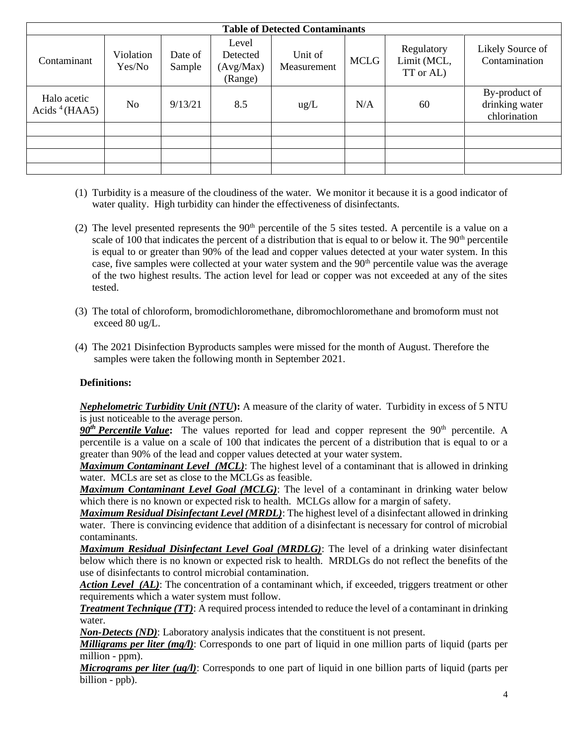| <b>Table of Detected Contaminants</b> |                     |                   |                                           |                        |             |                                        |                                                 |  |  |  |  |  |
|---------------------------------------|---------------------|-------------------|-------------------------------------------|------------------------|-------------|----------------------------------------|-------------------------------------------------|--|--|--|--|--|
| Contaminant                           | Violation<br>Yes/No | Date of<br>Sample | Level<br>Detected<br>(Avg/Max)<br>(Range) | Unit of<br>Measurement | <b>MCLG</b> | Regulatory<br>Limit (MCL,<br>TT or AL) | Likely Source of<br>Contamination               |  |  |  |  |  |
| Halo acetic<br>Acids $4$ (HAA5)       | N <sub>0</sub>      | 9/13/21           | 8.5                                       | $\text{ug/L}$          | N/A         | 60                                     | By-product of<br>drinking water<br>chlorination |  |  |  |  |  |
|                                       |                     |                   |                                           |                        |             |                                        |                                                 |  |  |  |  |  |
|                                       |                     |                   |                                           |                        |             |                                        |                                                 |  |  |  |  |  |
|                                       |                     |                   |                                           |                        |             |                                        |                                                 |  |  |  |  |  |
|                                       |                     |                   |                                           |                        |             |                                        |                                                 |  |  |  |  |  |

- (1) Turbidity is a measure of the cloudiness of the water. We monitor it because it is a good indicator of water quality. High turbidity can hinder the effectiveness of disinfectants.
- (2) The level presented represents the  $90<sup>th</sup>$  percentile of the 5 sites tested. A percentile is a value on a scale of 100 that indicates the percent of a distribution that is equal to or below it. The  $90<sup>th</sup>$  percentile is equal to or greater than 90% of the lead and copper values detected at your water system. In this case, five samples were collected at your water system and the 90<sup>th</sup> percentile value was the average of the two highest results. The action level for lead or copper was not exceeded at any of the sites tested.
- (3) The total of chloroform, bromodichloromethane, dibromochloromethane and bromoform must not exceed 80 ug/L.
- (4) The 2021 Disinfection Byproducts samples were missed for the month of August. Therefore the samples were taken the following month in September 2021.

#### **Definitions:**

*Nephelometric Turbidity Unit (NTU***):** A measure of the clarity of water. Turbidity in excess of 5 NTU is just noticeable to the average person.

 $90<sup>th</sup>$  *Percentile Value*: The values reported for lead and copper represent the  $90<sup>th</sup>$  percentile. A percentile is a value on a scale of 100 that indicates the percent of a distribution that is equal to or a greater than 90% of the lead and copper values detected at your water system.

*Maximum Contaminant Level (MCL)*: The highest level of a contaminant that is allowed in drinking water. MCLs are set as close to the MCLGs as feasible.

*Maximum Contaminant Level Goal (MCLG)*: The level of a contaminant in drinking water below which there is no known or expected risk to health. MCLGs allow for a margin of safety.

*Maximum Residual Disinfectant Level (MRDL)*: The highest level of a disinfectant allowed in drinking water. There is convincing evidence that addition of a disinfectant is necessary for control of microbial contaminants.

*Maximum Residual Disinfectant Level Goal (MRDLG)*: The level of a drinking water disinfectant below which there is no known or expected risk to health. MRDLGs do not reflect the benefits of the use of disinfectants to control microbial contamination.

Action Level (AL): The concentration of a contaminant which, if exceeded, triggers treatment or other requirements which a water system must follow.

*Treatment Technique (TT)*: A required process intended to reduce the level of a contaminant in drinking water.

*Non-Detects (ND)*: Laboratory analysis indicates that the constituent is not present.

*Milligrams per liter (mg/l)*: Corresponds to one part of liquid in one million parts of liquid (parts per million - ppm).

*Micrograms per liter (ug/l)*: Corresponds to one part of liquid in one billion parts of liquid (parts per billion - ppb).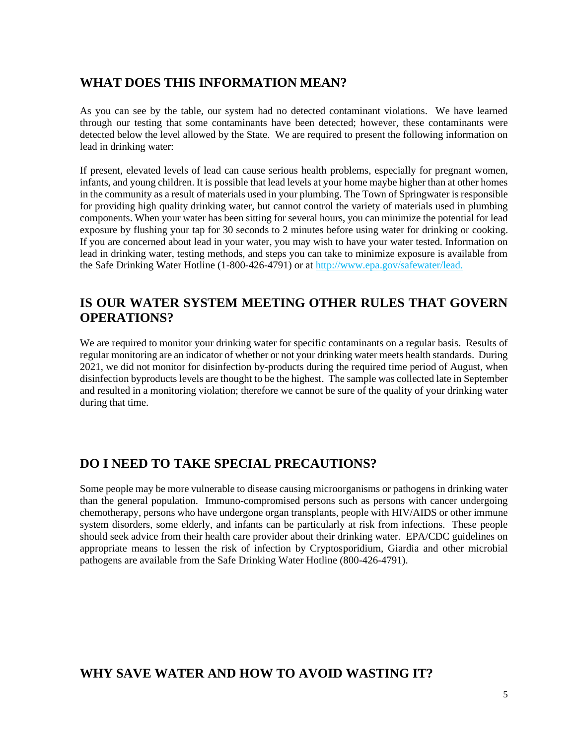## **WHAT DOES THIS INFORMATION MEAN?**

As you can see by the table, our system had no detected contaminant violations. We have learned through our testing that some contaminants have been detected; however, these contaminants were detected below the level allowed by the State. We are required to present the following information on lead in drinking water:

If present, elevated levels of lead can cause serious health problems, especially for pregnant women, infants, and young children. It is possible that lead levels at your home maybe higher than at other homes in the community as a result of materials used in your plumbing. The Town of Springwater is responsible for providing high quality drinking water, but cannot control the variety of materials used in plumbing components. When your water has been sitting for several hours, you can minimize the potential for lead exposure by flushing your tap for 30 seconds to 2 minutes before using water for drinking or cooking. If you are concerned about lead in your water, you may wish to have your water tested. Information on lead in drinking water, testing methods, and steps you can take to minimize exposure is available from the Safe Drinking Water Hotline (1-800-426-4791) or at http://www.epa.gov/safewater/lead.

## **IS OUR WATER SYSTEM MEETING OTHER RULES THAT GOVERN OPERATIONS?**

We are required to monitor your drinking water for specific contaminants on a regular basis. Results of regular monitoring are an indicator of whether or not your drinking water meets health standards. During 2021, we did not monitor for disinfection by-products during the required time period of August, when disinfection byproducts levels are thought to be the highest. The sample was collected late in September and resulted in a monitoring violation; therefore we cannot be sure of the quality of your drinking water during that time.

# **DO I NEED TO TAKE SPECIAL PRECAUTIONS?**

Some people may be more vulnerable to disease causing microorganisms or pathogens in drinking water than the general population. Immuno-compromised persons such as persons with cancer undergoing chemotherapy, persons who have undergone organ transplants, people with HIV/AIDS or other immune system disorders, some elderly, and infants can be particularly at risk from infections. These people should seek advice from their health care provider about their drinking water. EPA/CDC guidelines on appropriate means to lessen the risk of infection by Cryptosporidium, Giardia and other microbial pathogens are available from the Safe Drinking Water Hotline (800-426-4791).

### **WHY SAVE WATER AND HOW TO AVOID WASTING IT?**